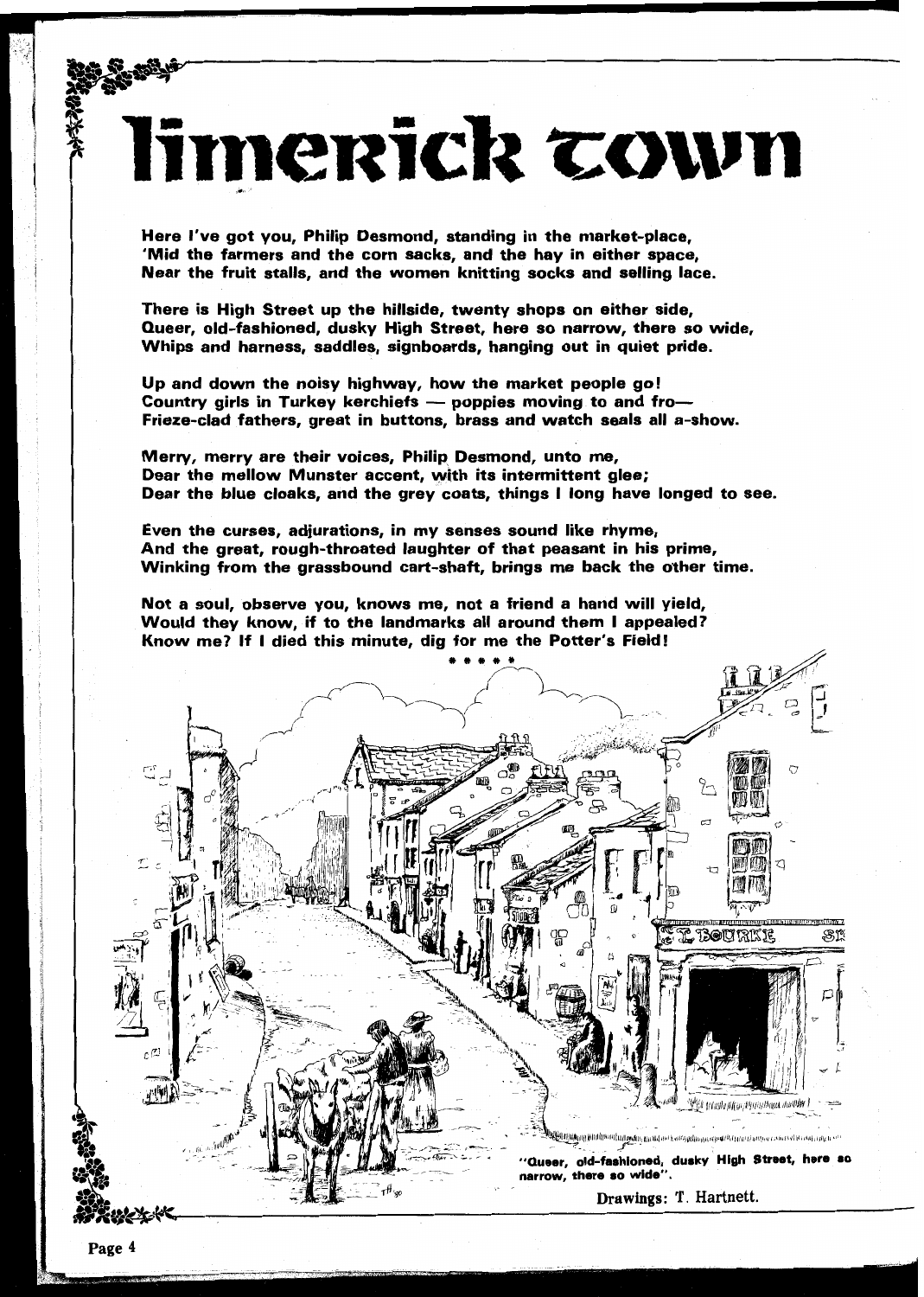Here I've got you, Philip Desmond, standing in the market-place, 'Mid the farmers and the corn sacks, and the hay in either space, Near the fruit stalls, and the women knitting socks and selling lace.

There is High Street up the hillside, twenty shops on either side, Queer, old-fashioned, dusky High Street, here so narrow, there so wide, Whips and harness, saddles, signboards, hanging out in quiet pride.

limerick cown

 $\ln$  and down the noisy highway, how the market people go! vnips and narness, saddies, signboards, nanging out in quiet pri<br>lp and down the noisy highway, how the market people go!<br>ountry girls in Turkey kerchiefs — poppies moving to and fro– Country girls in Turkey kerchiefs — poppies moving to and fro—<br>Frieze-clad fathers, great in buttons, brass and watch seals all a-show.

Merty, merry are their voices, Philip Desmond, unto me, Dear the mellow Munster accent, with its intermittent glee; Dear the blue cloaks, and the grey coats, things I long have longed to see.

Even the curses, adjurations, in my senses sound like rhyme, And the great, rough-throated laughter of that peasant in his prime, Winking from the grassbound cart-shaft, brings me back the other time.

lot a soul, observe you, knows me, not a friend a hand will yield,<br>Vould they know, if to the landmarks all around them I appealed? Would they know, if to the landmarks all around them I appealed?<br>Know me? If I died this minute, dig for me the Potter's Field!